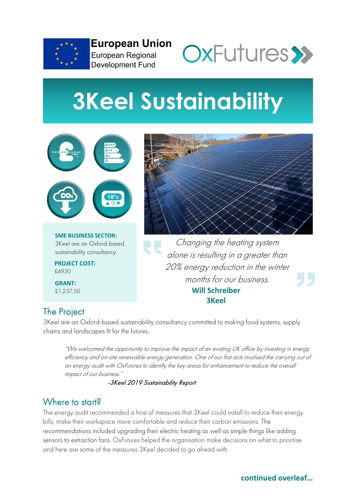

**European Union** European Regional **Development Fund** 



# **3Keel Sustainability**



**SME BUSINESS SECTOR:** 3Keel are an Oxford-based sustainability consultancy.

**PROJECT COST:** £4950

**GRANT:** £1,237.50

Changing the heating system alone is resulting in a greater than 20% energy reduction in the winter LJ LJ months for our business. **Will Schreiber 3Keel** 

## The Project

3Keel are an Oxford-based sustainability consultancy committed to making food systems, supply chains and landscapes fit for the futures.

"We welcomed the opportunity to improve the impact of an existing UK office by investing in energy efficiency and on-site renewable energy generation. One of our first acts involved the carrying out of an energy audit with OxFutures to identify the key areas for enhancement to reduce the overall impact of our business."

-3Keel 2019 Sustainability Report

#### Where to start?

The energy audit recommended a host of measures that 3Keel could install to reduce their energy bills, make their workspace more comfortable and reduce their carbon emissions. The recommendations included upgrading their electric heating as well as simple things like adding sensors to extraction fans. OxFutures helped the organisation make decisions on what to prioritise and here are some of the measures 3Keel decided to go ahead with.

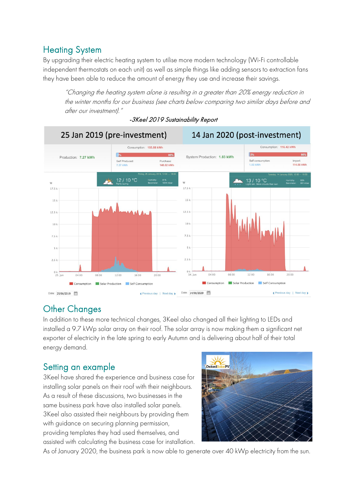### Heating System

By upgrading their electric heating system to utilise more modern technology (Wi-Fi controllable independent thermostats on each unit) as well as simple things like adding sensors to extraction fans they have been able to reduce the amount of energy they use and increase their savings.

"Changing the heating system alone is resulting in a greater than 20% energy reduction in the winter months for our business (see charts below comparing two similar days before and after our investment)."



#### -3Keel 2019 Sustainability Report

#### Other Changes

In addition to these more technical changes, 3Keel also changed all their lighting to LEDs and installed a 9.7 kWp solar array on their roof. The solar array is now making them a significant net exporter of electricity in the late spring to early Autumn and is delivering about half of their total energy demand.

#### Setting an example

3Keel have shared the experience and business case for installing solar panels on their roof with their neighbours. As a result of these discussions, two businesses in the same business park have also installed solar panels. 3Keel also assisted their neighbours by providing them with guidance on securing planning permission, providing templates they had used themselves, and assisted with calculating the business case for installation.



As of January 2020, the business park is now able to generate over 40 kWp electricity from the sun.